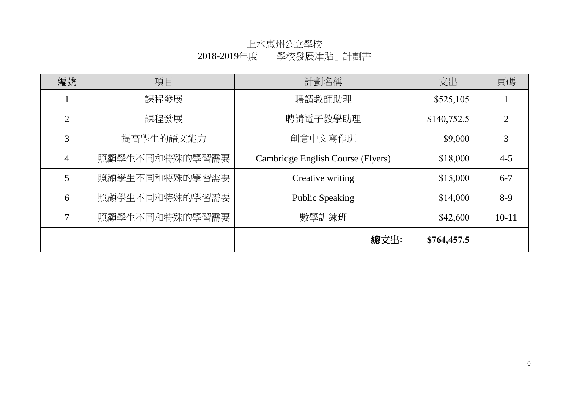| 編號             | 項目             | 計劃名稱                              | 支出          | 頁碼                          |
|----------------|----------------|-----------------------------------|-------------|-----------------------------|
|                | 課程發展           | 聘請教師助理                            | \$525,105   |                             |
| $\overline{2}$ | 課程發展           | 聘請電子教學助理                          | \$140,752.5 | $\mathcal{D}_{\mathcal{L}}$ |
| 3              | 提高學生的語文能力      | 創意中文寫作班                           | \$9,000     | 3                           |
| $\overline{4}$ | 照顧學生不同和特殊的學習需要 | Cambridge English Course (Flyers) | \$18,000    | $4 - 5$                     |
| 5              | 照顧學生不同和特殊的學習需要 | Creative writing                  | \$15,000    | $6 - 7$                     |
| 6              | 照顧學生不同和特殊的學習需要 | <b>Public Speaking</b>            | \$14,000    | $8-9$                       |
| $\overline{7}$ | 照顧學生不同和特殊的學習需要 | 數學訓練班                             | \$42,600    | $10 - 11$                   |
|                |                | 總支出:                              | \$764,457.5 |                             |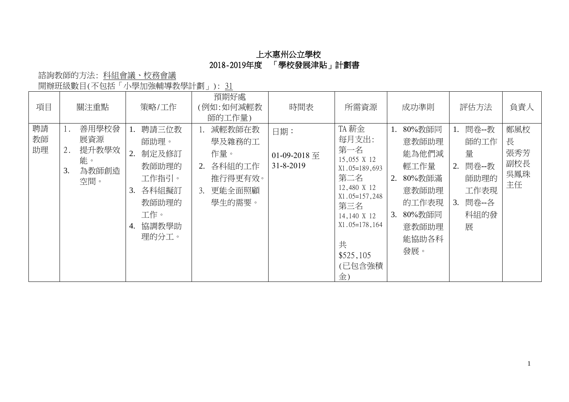諮詢教師的方法: 科組會議、校務會議

開辦班級數目(不包括「小學加強輔導教學計劃」): 31

| 項目             | 關注重點                                                    | 策略/工作                                                                                                 | 預期好處<br>(例如:如何減輕教<br>師的工作量)                                                  | 時間表                              | 所需資源                                                                                                                                                                        | 成功準則                                                                                                              | 評估方法                                                                                | 負責人                                 |
|----------------|---------------------------------------------------------|-------------------------------------------------------------------------------------------------------|------------------------------------------------------------------------------|----------------------------------|-----------------------------------------------------------------------------------------------------------------------------------------------------------------------------|-------------------------------------------------------------------------------------------------------------------|-------------------------------------------------------------------------------------|-------------------------------------|
| 聘請<br>教師<br>助理 | 善用學校發<br>展資源<br>提升教學效<br>2.<br>能。<br>為教師創造<br>3.<br>空間。 | 聘請三位教<br>師助理。<br>制定及修訂<br>2.<br>教師助理的<br>工作指引。<br>各科組擬訂<br>3.<br>教師助理的<br>工作。<br>協調教學助<br>4.<br>理的分工。 | 減輕教師在教<br>學及雜務的工<br>作量。<br>各科組的工作<br>2.<br>推行得更有效。<br>更能全面照顧<br>3.<br>學生的需要。 | 日期:<br>01-09-2018 至<br>31-8-2019 | TA 薪金<br>每月支出:<br>第一名<br>15,055 X 12<br>$X1.05=189,693$<br>第二名<br>12,480 X 12<br>$X1.05=157,248$<br>第三名<br>14,140 X 12<br>$X1.05=178,164$<br>共<br>\$525,105<br>(已包含強積<br>金) | 80%教師同<br>1.<br>意教師助理<br>能為他們減<br>輕工作量<br>80%教師滿<br>2.<br>意教師助理<br>的工作表現<br>80%教師同<br>3.<br>意教師助理<br>能協助各科<br>發展。 | 問卷--教<br>1.<br>師的工作<br>量<br>問卷--教<br>2.<br>師助理的<br>工作表現<br>問卷--各<br>3.<br>科組的發<br>展 | 鄭風校<br>長<br>張秀芳<br>副校長<br>吳鳳珠<br>主任 |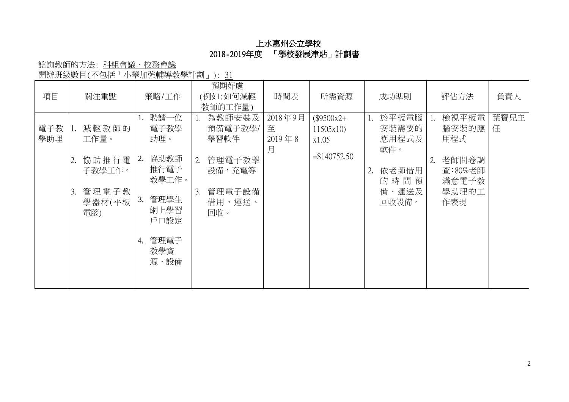諮詢教師的方法: 科組會議、校務會議 開辦班級數目(不包括「小學加強輔導教學計劃」): 31

| 項目         |    | 關注重點                   |    | 策略/工作                 |    | 預期好處<br>(例如:如何減輕<br>教師的工作量) | 時間表                             | 所需資源                             |    | 成功準則                           |    | 評估方法                      | 負責人       |
|------------|----|------------------------|----|-----------------------|----|-----------------------------|---------------------------------|----------------------------------|----|--------------------------------|----|---------------------------|-----------|
| 電子教<br>學助理 |    | 減輕教師的<br>工作量。          | 1. | 聘請一位<br>電子教學<br>助理。   |    | 為教師安裝及<br>預備電子教學/<br>學習軟件   | 2018年9月<br>至<br>$2019$ 年 8<br>月 | $($9500x2+$<br>11505x10<br>x1.05 | 1. | 於平板電腦<br>安裝需要的<br>應用程式及<br>軟件。 | 1. | 檢視平板電<br>腦安裝的應<br>用程式     | 葉寶兒主<br>任 |
|            | 2. | 協助推行電 <br>子教學工作。       | 2. | 協助教師<br>推行電子<br>教學工作。 | 2. | 管理電子教學<br>設備,充電等            |                                 | $= $140752.50$                   | 2. | 依老師借用<br>的時間預                  |    | 老師問卷調<br>查:80%老師<br>滿意電子教 |           |
|            | 3. | 管理電子教<br>學器材(平板<br>電腦) | 3. | 管理學生<br>網上學習<br>戶口設定  | 3. | 管理電子設備<br>借用,運送、<br>回收。     |                                 |                                  |    | 備、運送及<br>回收設備。                 |    | 學助理的工<br>作表現              |           |
|            |    |                        | 4. | 管理電子<br>教學資<br>源、設備   |    |                             |                                 |                                  |    |                                |    |                           |           |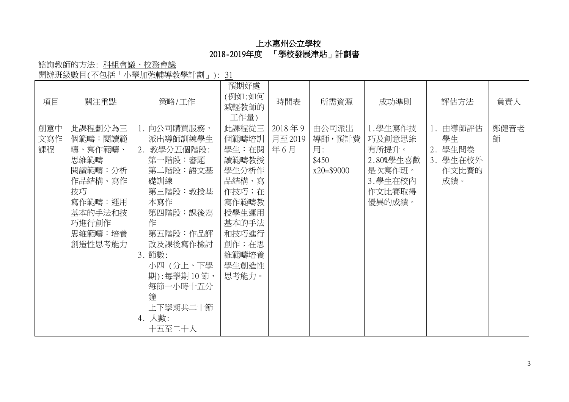# 諮詢教師的方法: 科組會議、校務會議

開辦班級數目(不包括「小學加強輔導教學計劃」): 31

| 項目               | 關注重點                                                                                                                   | 策略/工作                                                                                                                                                                                                                  | 預期好處<br>(例如:如何<br>減輕教師的<br>工作量)                                                                                                     | 時間表                     | 所需資源                                            | 成功準則                                                                              | 評估方法                                                     | 負責人       |
|------------------|------------------------------------------------------------------------------------------------------------------------|------------------------------------------------------------------------------------------------------------------------------------------------------------------------------------------------------------------------|-------------------------------------------------------------------------------------------------------------------------------------|-------------------------|-------------------------------------------------|-----------------------------------------------------------------------------------|----------------------------------------------------------|-----------|
| 創意中<br>文寫作<br>課程 | 此課程劃分為三<br>個範疇:閱讀範<br>疇、寫作範疇、<br>思維範疇<br>閲讀範疇:分析<br>作品結構、寫作<br>技巧<br>寫作範疇:運用<br>基本的手法和技<br>巧進行創作<br>思維範疇:培養<br>創造性思考能力 | 1. 向公司購買服務,<br>派出導師訓練學生<br>2. 教學分五個階段:<br>第一階段:審題<br>第二階段:語文基<br>礎訓練<br>第三階段:教授基<br>本寫作<br>第四階段:課後寫<br>作<br>第五階段:作品評<br>改及課後寫作檢討<br>3. 節數:<br>小四 (分上、下學<br>期):每學期10節,<br>每節一小時十五分<br>鐘<br>上下學期共二十節<br>4. 人數:<br>十五至二十人 | 此課程從三<br>個範疇培訓<br>學生:在閱<br>讀範疇教授<br>學生分析作<br>品結構、寫<br>作技巧;在<br>寫作範疇教<br>授學生運用<br>基本的手法<br>和技巧進行<br>創作;在思<br>維範疇培養<br>學生創造性<br>思考能力。 | 2018年9<br>月至2019<br>年6月 | 由公司派出<br>導師,預計費<br>用:<br>\$450<br>$x20 = $9000$ | 1.學生寫作技<br>巧及創意思維<br>有所提升。<br>2.80%學生喜歡<br>是次寫作班。<br>3. 學生在校內<br>作文比賽取得<br>優異的成績。 | 由導師評估<br>1.<br>學生<br>2. 學生問卷<br>3. 學生在校外<br>作文比賽的<br>成績。 | 鄭健音老<br>師 |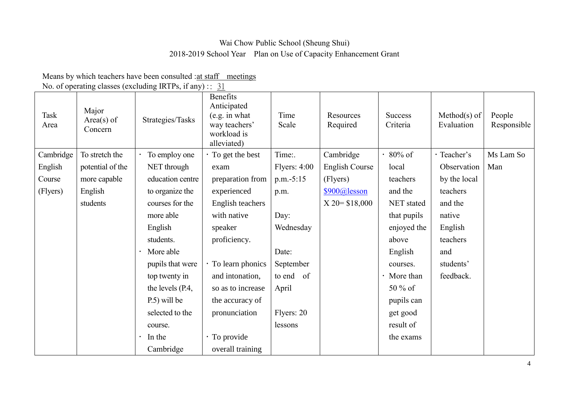# Wai Chow Public School (Sheung Shui) 2018-2019 School Year Plan on Use of Capacity Enhancement Grant

Means by which teachers have been consulted : at staff meetings

No. of operating classes (excluding IRTPs, if any) ::  $31$ 

| Task<br>Area | Major<br>$Area(s)$ of<br>Concern | Strategies/Tasks | <b>Benefits</b><br>Anticipated<br>(e.g. in what)<br>way teachers'<br>workload is<br>alleviated) | Time<br>Scale | Resources<br>Required | <b>Success</b><br>Criteria | $Method(s)$ of<br>Evaluation | People<br>Responsible |
|--------------|----------------------------------|------------------|-------------------------------------------------------------------------------------------------|---------------|-----------------------|----------------------------|------------------------------|-----------------------|
| Cambridge    | To stretch the                   | To employ one    | $\cdot$ To get the best                                                                         | Time:.        | Cambridge             | $80\%$ of                  | · Teacher's                  | Ms Lam So             |
| English      | potential of the                 | NET through      | exam                                                                                            | Flyers: 4:00  | <b>English Course</b> | local                      | Observation                  | Man                   |
| Course       | more capable                     | education centre | preparation from                                                                                | $p.m.-5:15$   | (Flyers)              | teachers                   | by the local                 |                       |
| (Flyers)     | English                          | to organize the  | experienced                                                                                     | p.m.          | $$900@$ lesson        | and the                    | teachers                     |                       |
|              | students                         | courses for the  | English teachers                                                                                |               | $X$ 20 = \$18,000     | NET stated                 | and the                      |                       |
|              |                                  | more able        | with native                                                                                     | Day:          |                       | that pupils                | native                       |                       |
|              |                                  | English          | speaker                                                                                         | Wednesday     |                       | enjoyed the                | English                      |                       |
|              |                                  | students.        | proficiency.                                                                                    |               |                       | above                      | teachers                     |                       |
|              |                                  | More able        |                                                                                                 | Date:         |                       | English                    | and                          |                       |
|              |                                  | pupils that were | $\cdot$ To learn phonics                                                                        | September     |                       | courses.                   | students'                    |                       |
|              |                                  | top twenty in    | and intonation,                                                                                 | to end of     |                       | More than                  | feedback.                    |                       |
|              |                                  | the levels (P.4, | so as to increase                                                                               | April         |                       | 50 % of                    |                              |                       |
|              |                                  | P.5) will be     | the accuracy of                                                                                 |               |                       | pupils can                 |                              |                       |
|              |                                  | selected to the  | pronunciation                                                                                   | Flyers: 20    |                       | get good                   |                              |                       |
|              |                                  | course.          |                                                                                                 | lessons       |                       | result of                  |                              |                       |
|              |                                  | In the           | · To provide                                                                                    |               |                       | the exams                  |                              |                       |
|              |                                  | Cambridge        | overall training                                                                                |               |                       |                            |                              |                       |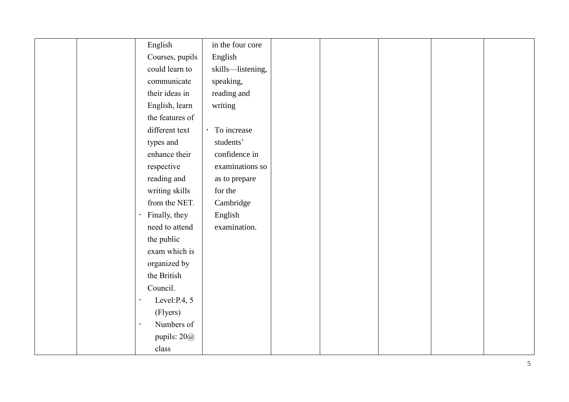| English                 | in the four core  |  |  |  |
|-------------------------|-------------------|--|--|--|
| Courses, pupils         | English           |  |  |  |
| could learn to          | skills-listening, |  |  |  |
| communicate             | speaking,         |  |  |  |
| their ideas in          | reading and       |  |  |  |
| English, learn          | writing           |  |  |  |
| the features of         |                   |  |  |  |
| different text          | To increase       |  |  |  |
| types and               | students'         |  |  |  |
| enhance their           | confidence in     |  |  |  |
| respective              | examinations so   |  |  |  |
| reading and             | as to prepare     |  |  |  |
| writing skills          | for the           |  |  |  |
| from the NET.           | Cambridge         |  |  |  |
| Finally, they           | English           |  |  |  |
| need to attend          | examination.      |  |  |  |
| the public              |                   |  |  |  |
| exam which is           |                   |  |  |  |
| organized by            |                   |  |  |  |
| the British             |                   |  |  |  |
| Council.                |                   |  |  |  |
| Level: P.4, 5           |                   |  |  |  |
| (Flyers)                |                   |  |  |  |
| Numbers of<br>$\bullet$ |                   |  |  |  |
| pupils: $20@$           |                   |  |  |  |
| class                   |                   |  |  |  |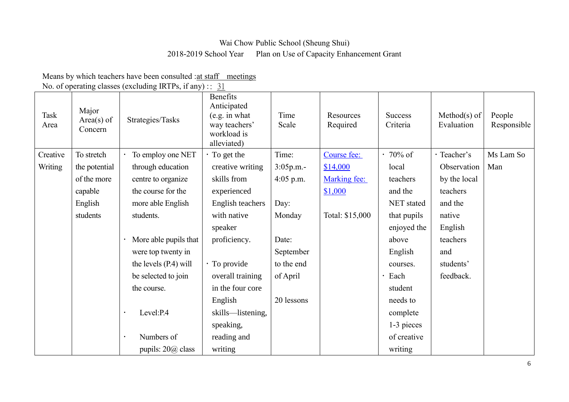#### Wai Chow Public School (Sheung Shui)

#### 2018-2019 School Year Plan on Use of Capacity Enhancement Grant

Means by which teachers have been consulted : at staff meetings

No. of operating classes (excluding IRTPs, if any) ::  $31$ 

| Task<br>Area | Major<br>$Area(s)$ of<br>Concern | Strategies/Tasks        | Benefits<br>Anticipated<br>(e.g. in what)<br>way teachers'<br>workload is<br>alleviated) | Time<br>Scale | Resources<br>Required | <b>Success</b><br>Criteria | Method $(s)$ of<br>Evaluation | People<br>Responsible |
|--------------|----------------------------------|-------------------------|------------------------------------------------------------------------------------------|---------------|-----------------------|----------------------------|-------------------------------|-----------------------|
| Creative     | To stretch                       | To employ one NET       | $\cdot$ To get the                                                                       | Time:         | Course fee:           | $\cdot$ 70% of             | · Teacher's                   | Ms Lam So             |
| Writing      | the potential                    | through education       | creative writing                                                                         | $3:05p.m. -$  | \$14,000              | local                      | Observation                   | Man                   |
|              | of the more                      | centre to organize      | skills from                                                                              | $4:05$ p.m.   | Marking fee:          | teachers                   | by the local                  |                       |
|              | capable                          | the course for the      | experienced                                                                              |               | \$1,000               | and the                    | teachers                      |                       |
|              | English                          | more able English       | English teachers                                                                         | Day:          |                       | <b>NET</b> stated          | and the                       |                       |
|              | students                         | students.               | with native                                                                              | Monday        | Total: \$15,000       | that pupils                | native                        |                       |
|              |                                  |                         | speaker                                                                                  |               |                       | enjoyed the                | English                       |                       |
|              |                                  | More able pupils that   | proficiency.                                                                             | Date:         |                       | above                      | teachers                      |                       |
|              |                                  | were top twenty in      |                                                                                          | September     |                       | English                    | and                           |                       |
|              |                                  | the levels (P.4) will   | · To provide                                                                             | to the end    |                       | courses.                   | students'                     |                       |
|              |                                  | be selected to join     | overall training                                                                         | of April      |                       | Each                       | feedback.                     |                       |
|              |                                  | the course.             | in the four core                                                                         |               |                       | student                    |                               |                       |
|              |                                  |                         | English                                                                                  | 20 lessons    |                       | needs to                   |                               |                       |
|              |                                  | Level:P.4               | skills—listening,                                                                        |               |                       | complete                   |                               |                       |
|              |                                  |                         | speaking,                                                                                |               |                       | 1-3 pieces                 |                               |                       |
|              |                                  | Numbers of<br>$\bullet$ | reading and                                                                              |               |                       | of creative                |                               |                       |
|              |                                  | pupils: $20@$ class     | writing                                                                                  |               |                       | writing                    |                               |                       |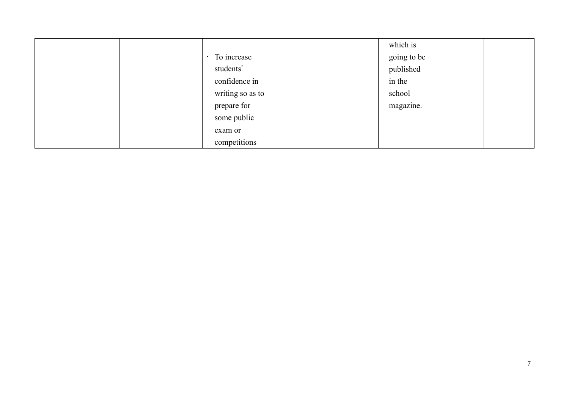|  |                  |  | which is    |  |
|--|------------------|--|-------------|--|
|  | · To increase    |  | going to be |  |
|  | students'        |  | published   |  |
|  | confidence in    |  | in the      |  |
|  | writing so as to |  | school      |  |
|  | prepare for      |  | magazine.   |  |
|  | some public      |  |             |  |
|  | exam or          |  |             |  |
|  | competitions     |  |             |  |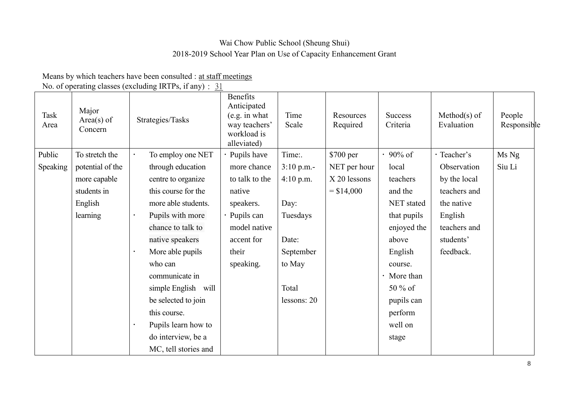# Wai Chow Public School (Sheung Shui) 2018-2019 School Year Plan on Use of Capacity Enhancement Grant

Means by which teachers have been consulted : at staff meetings

No. of operating classes (excluding IRTPs, if any) :  $31$ 

| Task<br>Area | Major<br>$Area(s)$ of<br>Concern |           | Strategies/Tasks     | Benefits<br>Anticipated<br>(e.g. in what)<br>way teachers'<br>workload is<br>alleviated) | Time<br>Scale | Resources<br>Required | <b>Success</b><br>Criteria | $Method(s)$ of<br>Evaluation | People<br>Responsible |
|--------------|----------------------------------|-----------|----------------------|------------------------------------------------------------------------------------------|---------------|-----------------------|----------------------------|------------------------------|-----------------------|
| Public       | To stretch the                   |           | To employ one NET    | Pupils have                                                                              | Time:.        | \$700 per             | $\cdot$ 90% of             | · Teacher's                  | Ms Ng                 |
| Speaking     | potential of the                 |           | through education    | more chance                                                                              | $3:10$ p.m.-  | NET per hour          | local                      | Observation                  | Siu Li                |
|              | more capable                     |           | centre to organize   | to talk to the                                                                           | 4:10 p.m.     | X 20 lessons          | teachers                   | by the local                 |                       |
|              | students in                      |           | this course for the  | native                                                                                   |               | $= $14,000$           | and the                    | teachers and                 |                       |
|              | English                          |           | more able students.  | speakers.                                                                                | Day:          |                       | NET stated                 | the native                   |                       |
|              | learning                         |           | Pupils with more     | Pupils can                                                                               | Tuesdays      |                       | that pupils                | English                      |                       |
|              |                                  |           | chance to talk to    | model native                                                                             |               |                       | enjoyed the                | teachers and                 |                       |
|              |                                  |           | native speakers      | accent for                                                                               | Date:         |                       | above                      | students'                    |                       |
|              |                                  |           | More able pupils     | their                                                                                    | September     |                       | English                    | feedback.                    |                       |
|              |                                  |           | who can              | speaking.                                                                                | to May        |                       | course.                    |                              |                       |
|              |                                  |           | communicate in       |                                                                                          |               |                       | More than                  |                              |                       |
|              |                                  |           | simple English will  |                                                                                          | Total         |                       | $50\%$ of                  |                              |                       |
|              |                                  |           | be selected to join  |                                                                                          | lessons: 20   |                       | pupils can                 |                              |                       |
|              |                                  |           | this course.         |                                                                                          |               |                       | perform                    |                              |                       |
|              |                                  | $\bullet$ | Pupils learn how to  |                                                                                          |               |                       | well on                    |                              |                       |
|              |                                  |           | do interview, be a   |                                                                                          |               |                       | stage                      |                              |                       |
|              |                                  |           | MC, tell stories and |                                                                                          |               |                       |                            |                              |                       |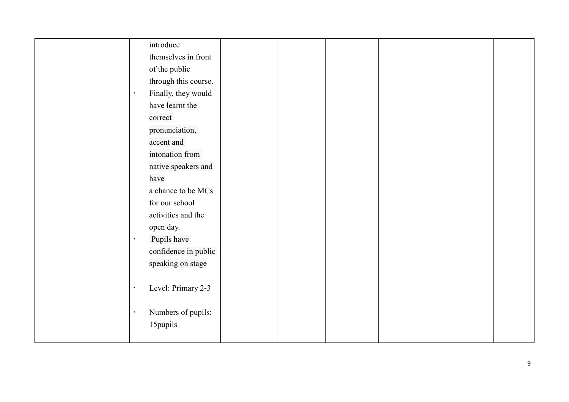|  | introduce            |  |  |  |
|--|----------------------|--|--|--|
|  | themselves in front  |  |  |  |
|  | of the public        |  |  |  |
|  | through this course. |  |  |  |
|  | Finally, they would  |  |  |  |
|  | have learnt the      |  |  |  |
|  | correct              |  |  |  |
|  | pronunciation,       |  |  |  |
|  | accent and           |  |  |  |
|  | intonation from      |  |  |  |
|  | native speakers and  |  |  |  |
|  | have                 |  |  |  |
|  | a chance to be MCs   |  |  |  |
|  | for our school       |  |  |  |
|  | activities and the   |  |  |  |
|  | open day.            |  |  |  |
|  | Pupils have          |  |  |  |
|  | confidence in public |  |  |  |
|  | speaking on stage    |  |  |  |
|  |                      |  |  |  |
|  | Level: Primary 2-3   |  |  |  |
|  |                      |  |  |  |
|  | Numbers of pupils:   |  |  |  |
|  | 15pupils             |  |  |  |
|  |                      |  |  |  |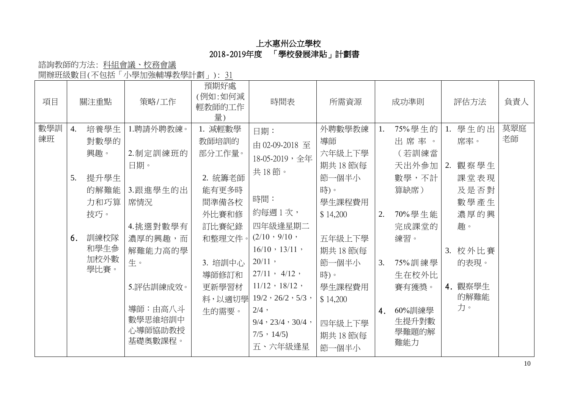諮詢教師的方法: 科組會議、校務會議

開辦班級數目(不包括「小學加強輔導教學計劃」): 31

| 項目        |                              | 關注重點                                                                               | 策略/工作                                                                                                                                            | 預期好處<br>(例如:如何減<br>輕教師的工作<br>量)                                                                                                     | 時間表                                                                                                                                                                                                                                                                                                | 所需資源                                                                                                                                                                   |                      | 成功準則                                                                                                                                       | 評估方法                                                                                                        | 負責人       |
|-----------|------------------------------|------------------------------------------------------------------------------------|--------------------------------------------------------------------------------------------------------------------------------------------------|-------------------------------------------------------------------------------------------------------------------------------------|----------------------------------------------------------------------------------------------------------------------------------------------------------------------------------------------------------------------------------------------------------------------------------------------------|------------------------------------------------------------------------------------------------------------------------------------------------------------------------|----------------------|--------------------------------------------------------------------------------------------------------------------------------------------|-------------------------------------------------------------------------------------------------------------|-----------|
| 數學訓<br>練班 | $\overline{4}$ .<br>5.<br>6. | 培養學生<br>對數學的<br>興趣。<br>提升學生<br>的解難能<br>力和巧算<br>技巧。<br>訓練校隊<br>和學生參<br>加校外數<br>學比賽。 | 1.聘請外聘教練。<br>2.制定訓練班的<br>日期。<br>3.跟進學生的出<br>席情況<br>4.挑選對數學有<br>濃厚的興趣,而<br>解難能力高的學<br>生。<br>5.評估訓練成效。<br>導師:由高八斗<br>數學思維培訓中<br>心導師協助教授<br>基礎奧數課程。 | 1. 減輕數學<br>教師培訓的<br>部分工作量。<br>2. 統籌老師<br>能有更多時<br>間準備各校<br>外比賽和修<br>訂比賽紀錄<br>和整理文件。<br>3. 培訓中心<br>導師修訂和<br>更新學習材<br>料,以適切學<br>生的需要。 | 日期:<br>由 02-09-2018 至<br>18-05-2019,全年<br>共18節。<br>時間:<br>約每週1次,<br>四年級逢星期二<br>$(2/10 \cdot 9/10 \cdot$<br>$16/10 \cdot 13/11$ ,<br>$20/11$ ,<br>$27/11$ , $4/12$ ,<br>$11/12$ , $18/12$ ,<br>$19/2 \cdot 26/2 \cdot 5/3$ ,<br>$2/4$ ,<br>$9/4$ , $23/4$ , $30/4$ ,<br>$7/5 \cdot 14/5$<br>五、六年級逢星 | 外聘數學教練<br>導師<br>六年級上下學<br>期共 18 節(每<br>節一個半小<br>時)。<br>學生課程費用<br>\$14,200<br>五年級上下學<br>期共 18 節(每<br>節一個半小<br>時)。<br>學生課程費用<br>\$14,200<br>四年級上下學<br>期共 18 節(每<br>節一個半小 | 1.<br>2.<br>3.<br>4. | 75%學生的<br>出席率。<br>(若訓練當<br>天出外参加<br>數學,不計<br>算缺席)<br>70%學生能<br>完成課堂的<br>練習。<br>75%訓練學<br>生在校外比<br>賽有獲獎。<br>60%訓練學<br>生提升對數<br>學難題的解<br>難能力 | 1. 學生的出<br>席率。<br>2. 觀察學生<br>課堂表現<br>及是否對<br>數學產生<br>濃厚的興<br>趣。<br>3. 校外比賽<br>的表現。<br>4. 觀察學生<br>的解難能<br>力。 | 莫翠庭<br>老師 |